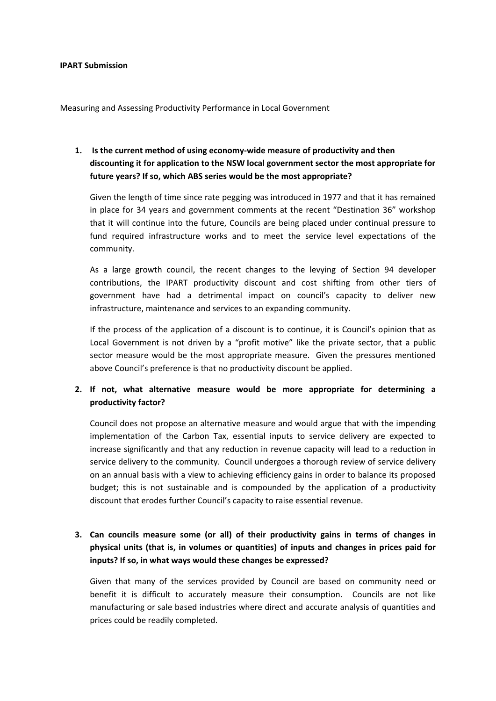#### **IPART Submission**

Measuring and Assessing Productivity Performance in Local Government

# **1. Is the current method of using economy‐wide measure of productivity and then discounting it for application to the NSW local government sector the most appropriate for future years? If so, which ABS series would be the most appropriate?**

Given the length of time since rate pegging was introduced in 1977 and that it has remained in place for 34 years and government comments at the recent "Destination 36" workshop that it will continue into the future, Councils are being placed under continual pressure to fund required infrastructure works and to meet the service level expectations of the community.

As a large growth council, the recent changes to the levying of Section 94 developer contributions, the IPART productivity discount and cost shifting from other tiers of government have had a detrimental impact on council's capacity to deliver new infrastructure, maintenance and services to an expanding community.

If the process of the application of a discount is to continue, it is Council's opinion that as Local Government is not driven by a "profit motive" like the private sector, that a public sector measure would be the most appropriate measure. Given the pressures mentioned above Council's preference is that no productivity discount be applied.

### **2. If not, what alternative measure would be more appropriate for determining a productivity factor?**

Council does not propose an alternative measure and would argue that with the impending implementation of the Carbon Tax, essential inputs to service delivery are expected to increase significantly and that any reduction in revenue capacity will lead to a reduction in service delivery to the community. Council undergoes a thorough review of service delivery on an annual basis with a view to achieving efficiency gains in order to balance its proposed budget; this is not sustainable and is compounded by the application of a productivity discount that erodes further Council's capacity to raise essential revenue.

# **3. Can councils measure some (or all) of their productivity gains in terms of changes in physical units (that is, in volumes or quantities) of inputs and changes in prices paid for inputs? If so, in what ways would these changes be expressed?**

Given that many of the services provided by Council are based on community need or benefit it is difficult to accurately measure their consumption. Councils are not like manufacturing or sale based industries where direct and accurate analysis of quantities and prices could be readily completed.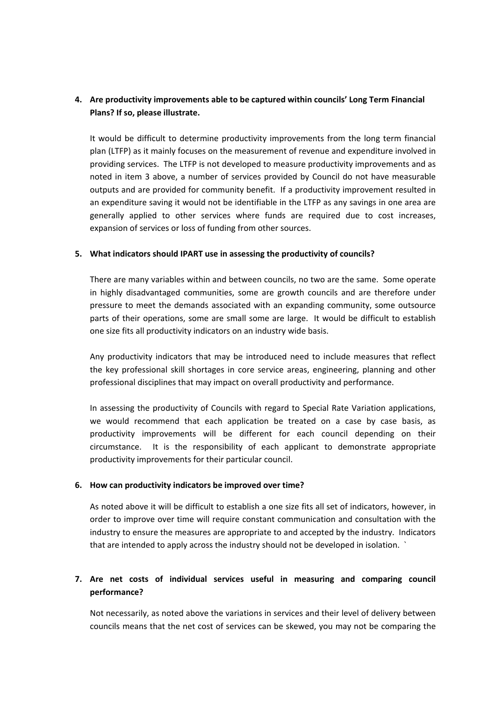# **4. Are productivity improvements able to be captured within councils' Long Term Financial Plans? If so, please illustrate.**

It would be difficult to determine productivity improvements from the long term financial plan (LTFP) as it mainly focuses on the measurement of revenue and expenditure involved in providing services. The LTFP is not developed to measure productivity improvements and as noted in item 3 above, a number of services provided by Council do not have measurable outputs and are provided for community benefit. If a productivity improvement resulted in an expenditure saving it would not be identifiable in the LTFP as any savings in one area are generally applied to other services where funds are required due to cost increases, expansion of services or loss of funding from other sources.

#### **5. What indicators should IPART use in assessing the productivity of councils?**

There are many variables within and between councils, no two are the same. Some operate in highly disadvantaged communities, some are growth councils and are therefore under pressure to meet the demands associated with an expanding community, some outsource parts of their operations, some are small some are large. It would be difficult to establish one size fits all productivity indicators on an industry wide basis.

Any productivity indicators that may be introduced need to include measures that reflect the key professional skill shortages in core service areas, engineering, planning and other professional disciplines that may impact on overall productivity and performance.

In assessing the productivity of Councils with regard to Special Rate Variation applications, we would recommend that each application be treated on a case by case basis, as productivity improvements will be different for each council depending on their circumstance. It is the responsibility of each applicant to demonstrate appropriate productivity improvements for their particular council.

#### **6. How can productivity indicators be improved over time?**

As noted above it will be difficult to establish a one size fits all set of indicators, however, in order to improve over time will require constant communication and consultation with the industry to ensure the measures are appropriate to and accepted by the industry. Indicators that are intended to apply across the industry should not be developed in isolation. `

# **7. Are net costs of individual services useful in measuring and comparing council performance?**

Not necessarily, as noted above the variations in services and their level of delivery between councils means that the net cost of services can be skewed, you may not be comparing the